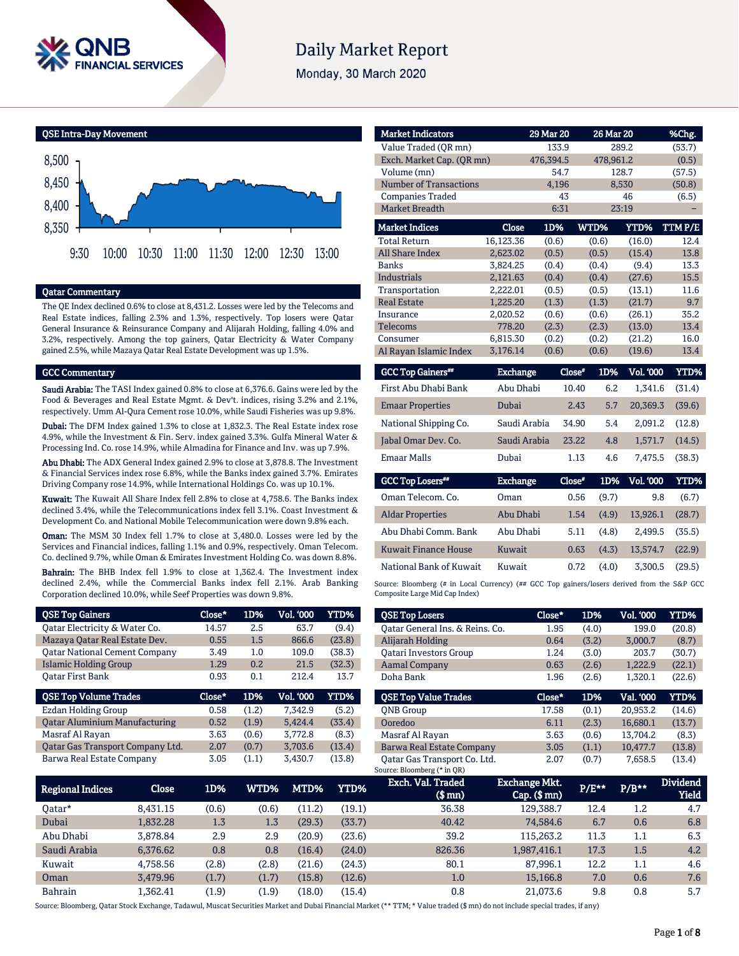

# **Daily Market Report**

Monday, 30 March 2020

QSE Intra-Day Movement 8,350 8,400 8,450 8,500 9:30 10:00 10:30 11:00 11:30 12:00 12:30 13:00

## Qatar Commentary

The QE Index declined 0.6% to close at 8,431.2. Losses were led by the Telecoms and Real Estate indices, falling 2.3% and 1.3%, respectively. Top losers were Qatar General Insurance & Reinsurance Company and Alijarah Holding, falling 4.0% and 3.2%, respectively. Among the top gainers, Qatar Electricity & Water Company gained 2.5%, while Mazaya Qatar Real Estate Development was up 1.5%.

#### GCC Commentary

Saudi Arabia: The TASI Index gained 0.8% to close at 6,376.6. Gains were led by the Food & Beverages and Real Estate Mgmt. & Dev't. indices, rising 3.2% and 2.1%, respectively. Umm Al-Qura Cement rose 10.0%, while Saudi Fisheries was up 9.8%.

Dubai: The DFM Index gained 1.3% to close at 1,832.3. The Real Estate index rose 4.9%, while the Investment & Fin. Serv. index gained 3.3%. Gulfa Mineral Water & Processing Ind. Co. rose 14.9%, while Almadina for Finance and Inv. was up 7.9%.

Abu Dhabi: The ADX General Index gained 2.9% to close at 3,878.8. The Investment & Financial Services index rose 6.8%, while the Banks index gained 3.7%. Emirates Driving Company rose 14.9%, while International Holdings Co. was up 10.1%.

Kuwait: The Kuwait All Share Index fell 2.8% to close at 4,758.6. The Banks index declined 3.4%, while the Telecommunications index fell 3.1%. Coast Investment & Development Co. and National Mobile Telecommunication were down 9.8% each.

Oman: The MSM 30 Index fell 1.7% to close at 3,480.0. Losses were led by the Services and Financial indices, falling 1.1% and 0.9%, respectively. Oman Telecom. Co. declined 9.7%, while Oman & Emirates Investment Holding Co. was down 8.8%.

Bahrain: The BHB Index fell 1.9% to close at 1,362.4. The Investment index declined 2.4%, while the Commercial Banks index fell 2.1%. Arab Banking Corporation declined 10.0%, while Seef Properties was down 9.8%.

| <b>QSE Top Gainers</b>                  | $Close*$ | 1D%   | <b>Vol. '000</b> | YTD%   |
|-----------------------------------------|----------|-------|------------------|--------|
| Qatar Electricity & Water Co.           | 14.57    | 2.5   | 63.7             | (9.4)  |
| Mazaya Qatar Real Estate Dev.           | 0.55     | 1.5   | 866.6            | (23.8) |
| <b>Qatar National Cement Company</b>    | 3.49     | 1.0   | 109.0            | (38.3) |
| <b>Islamic Holding Group</b>            | 1.29     | 0.2   | 21.5             | (32.3) |
| <b>Oatar First Bank</b>                 | 0.93     | 0.1   | 212.4            | 13.7   |
|                                         |          |       |                  |        |
| <b>QSE Top Volume Trades</b>            | Close*   | 1D%   | <b>Vol. '000</b> | YTD%   |
| Ezdan Holding Group                     | 0.58     | (1.2) | 7.342.9          | (5.2)  |
| <b>Qatar Aluminium Manufacturing</b>    | 0.52     | (1.9) | 5.424.4          | (33.4) |
| Masraf Al Rayan                         | 3.63     | (0.6) | 3,772.8          | (8.3)  |
| <b>Qatar Gas Transport Company Ltd.</b> | 2.07     | (0.7) | 3,703.6          | (13.4) |

| <b>Market Indicators</b>      |                 | 29 Mar 20 |        | 26 Mar 20 |             | %Chg.       |
|-------------------------------|-----------------|-----------|--------|-----------|-------------|-------------|
| Value Traded (QR mn)          |                 | 133.9     |        | 289.2     |             | (53.7)      |
| Exch. Market Cap. (OR mn)     |                 | 476,394.5 |        | 478,961.2 |             | (0.5)       |
| Volume (mn)                   |                 | 54.7      |        |           | 128.7       | (57.5)      |
| <b>Number of Transactions</b> |                 | 4,196     |        | 8,530     |             | (50.8)      |
| <b>Companies Traded</b>       |                 | 43        |        |           | 46          | (6.5)       |
| <b>Market Breadth</b>         |                 | 6:31      |        |           | 23:19       |             |
| <b>Market Indices</b>         | Close           | 1D%       |        | WTD%      | <b>YTD%</b> | TTMP/E      |
| <b>Total Return</b>           | 16,123.36       | (0.6)     |        | (0.6)     | (16.0)      | 12.4        |
| <b>All Share Index</b>        | 2,623.02        | (0.5)     |        | (0.5)     | (15.4)      | 13.8        |
| <b>Banks</b>                  | 3,824.25        | (0.4)     |        | (0.4)     | (9.4)       | 13.3        |
| Industrials                   | 2,121.63        | (0.4)     |        | (0.4)     | (27.6)      | 15.5        |
| Transportation                | 2,222.01        | (0.5)     |        | (0.5)     | (13.1)      | 11.6        |
| <b>Real Estate</b>            | 1,225.20        | (1.3)     |        | (1.3)     | (21.7)      | 9.7         |
| Insurance                     | 2,020.52        | (0.6)     |        | (0.6)     | (26.1)      | 35.2        |
| Telecoms                      | 778.20          | (2.3)     |        | (2.3)     | (13.0)      | 13.4        |
| Consumer                      | 6,815.30        | (0.2)     |        | (0.2)     | (21.2)      | 16.0        |
| Al Rayan Islamic Index        | 3,176.14        | (0.6)     |        | (0.6)     | (19.6)      | 13.4        |
| <b>GCC Top Gainers</b> "      | <b>Exchange</b> |           | Close* | 1D%       | Vol. '000   | <b>YTD%</b> |
| First Abu Dhabi Bank          | Abu Dhabi       |           | 10.40  | 6.2       | 1,341.6     | (31.4)      |
| <b>Emaar Properties</b>       | Dubai           |           | 2.43   | 5.7       | 20,369.3    | (39.6)      |
| National Shipping Co.         | Saudi Arabia    |           | 34.90  | 5.4       | 2,091.2     | (12.8)      |
| Jabal Omar Dev. Co.           | Saudi Arabia    |           | 23.22  | 4.8       | 1,571.7     | (14.5)      |
| <b>Emaar Malls</b>            | Dubai           |           | 1.13   | 4.6       | 7,475.5     | (38.3)      |
| <b>GCC Top Losers**</b>       | <b>Exchange</b> |           | Close* | 1D%       | Vol. '000   | YTD%        |
| Oman Telecom. Co.             | <b>Oman</b>     |           | 0.56   | (9.7)     | 9.8         | (6.7)       |
| <b>Aldar Properties</b>       | Abu Dhabi       |           | 1.54   | (4.9)     | 13,926.1    | (28.7)      |
| Abu Dhabi Comm. Bank          | Abu Dhabi       |           | 5.11   | (4.8)     | 2,499.5     | (35.5)      |
| <b>Kuwait Finance House</b>   | Kuwait          |           | 0.63   | (4.3)     | 13,574.7    | (22.9)      |
| National Bank of Kuwait       | Kuwait          |           | 0.72   | (4.0)     | 3,300.5     | (29.5)      |

Source: Bloomberg (# in Local Currency) (## GCC Top gainers/losers derived from the S&P GCC Composite Large Mid Cap Index)

| <b>QSE Top Losers</b>           | Close* | 1D%   | <b>Vol. '000</b> | YTD%   |
|---------------------------------|--------|-------|------------------|--------|
| Oatar General Ins. & Reins. Co. | 1.95   | (4.0) | 199.0            | (20.8) |
| <b>Alijarah Holding</b>         | 0.64   | (3.2) | 3.000.7          | (8.7)  |
| <b>Oatari Investors Group</b>   | 1.24   | (3.0) | 203.7            | (30.7) |
| <b>Aamal Company</b>            | 0.63   | (2.6) | 1.222.9          | (22.1) |
| Doha Bank                       | 1.96   | (2.6) | 1,320.1          | (22.6) |
|                                 |        |       |                  |        |
|                                 |        |       |                  |        |
| <b>OSE Top Value Trades</b>     | Close* | 1D%   | Val. '000        | YTD%   |
| <b>ONB</b> Group                | 17.58  | (0.1) | 20,953.2         | (14.6) |
| Ooredoo                         | 6.11   | (2.3) | 16.680.1         | (13.7) |
| Masraf Al Rayan                 | 3.63   | (0.6) | 13.704.2         | (8.3)  |
| Barwa Real Estate Company       | 3.05   | (1.1) | 10,477.7         | (13.8) |

| <b>Regional Indices</b> | Close    | 1D%   | WTD%  | MTD%   | YTD%   | Exch. Val. Traded<br>$$$ mn $)$ | <b>Exchange Mkt.</b><br>$Cap.$ ( $$rm)$ ) | P/E** | $P/B**$ | <b>Dividend</b><br><b>Yield</b> |
|-------------------------|----------|-------|-------|--------|--------|---------------------------------|-------------------------------------------|-------|---------|---------------------------------|
| 0atar*                  | 8.431.15 | (0.6) | (0.6) | (11.2) | (19.1) | 36.38                           | 129,388.7                                 | 12.4  | $1.2\,$ | 4.7                             |
| Dubai                   | 1.832.28 | 1.3   | 1.3   | (29.3) | (33.7) | 40.42                           | 74.584.6                                  | 6.7   | 0.6     | 6.8                             |
| Abu Dhabi               | 3.878.84 | 2.9   | 2.9   | (20.9) | (23.6) | 39.2                            | 115.263.2                                 | 11.3  | 1.1     | 6.3                             |
| Saudi Arabia            | 6.376.62 | 0.8   | 0.8   | (16.4) | (24.0) | 826.36                          | 1.987.416.1                               | 17.3  | 1.5     | 4.2                             |
| Kuwait                  | 4.758.56 | (2.8) | (2.8) | (21.6) | (24.3) | 80.1                            | 87,996.1                                  | 12.2  | 1.1     | 4.6                             |
| Oman                    | 3.479.96 | (1.7) | (1.7) | (15.8) | (12.6) | $1.0\,$                         | 15,166.8                                  | 7.0   | 0.6     | 7.6                             |
| <b>Bahrain</b>          | .362.41  | (1.9) | (1.9) | (18.0) | (15.4) | 0.8                             | 21,073.6                                  | 9.8   | 0.8     | 5.7                             |

Source: Bloomberg, Oatar Stock Exchange, Tadawul, Muscat Securities Market and Dubai Financial Market (\*\* TTM; \* Value traded (\$ mn) do not include special trades, if any)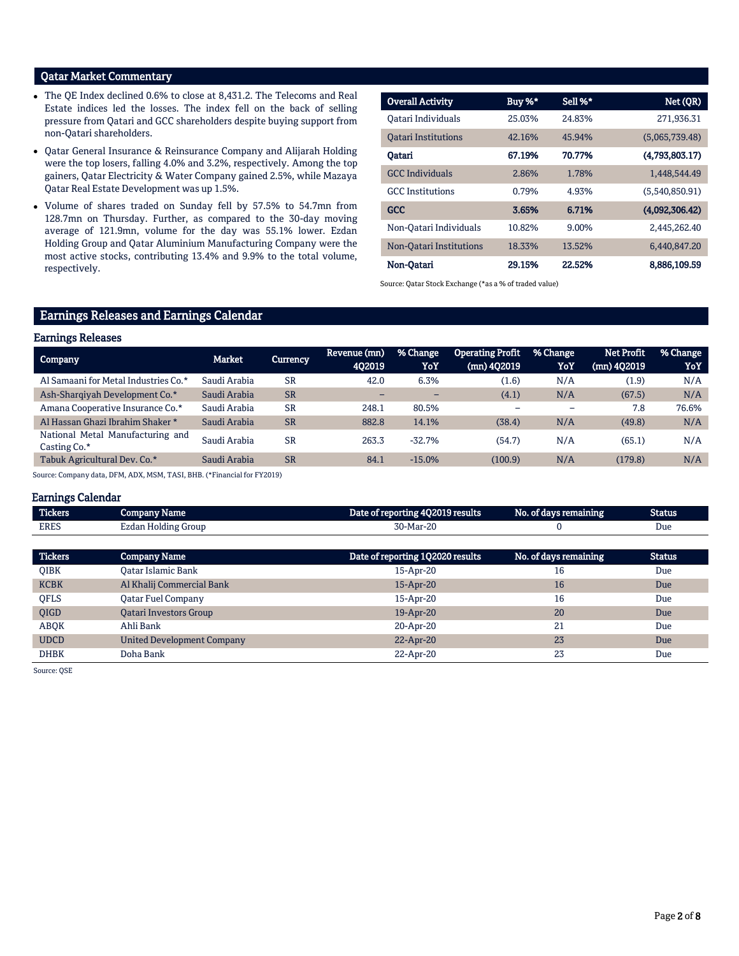## Qatar Market Commentary

- The QE Index declined 0.6% to close at 8,431.2. The Telecoms and Real Estate indices led the losses. The index fell on the back of selling pressure from Qatari and GCC shareholders despite buying support from non-Qatari shareholders.
- Qatar General Insurance & Reinsurance Company and Alijarah Holding were the top losers, falling 4.0% and 3.2%, respectively. Among the top gainers, Qatar Electricity & Water Company gained 2.5%, while Mazaya Qatar Real Estate Development was up 1.5%.
- Volume of shares traded on Sunday fell by 57.5% to 54.7mn from 128.7mn on Thursday. Further, as compared to the 30-day moving average of 121.9mn, volume for the day was 55.1% lower. Ezdan Holding Group and Qatar Aluminium Manufacturing Company were the most active stocks, contributing 13.4% and 9.9% to the total volume, respectively.

| <b>Overall Activity</b>    | Buy %* | Sell %* | Net (QR)       |
|----------------------------|--------|---------|----------------|
| Oatari Individuals         | 25.03% | 24.83%  | 271,936.31     |
| <b>Oatari Institutions</b> | 42.16% | 45.94%  | (5,065,739.48) |
| Oatari                     | 67.19% | 70.77%  | (4.793.803.17) |
| <b>GCC</b> Individuals     | 2.86%  | 1.78%   | 1.448.544.49   |
| <b>GCC</b> Institutions    | 0.79%  | 4.93%   | (5,540,850.91) |
| <b>GCC</b>                 | 3.65%  | 6.71%   | (4,092,306.42) |
| Non-Oatari Individuals     | 10.82% | 9.00%   | 2.445.262.40   |
| Non-Oatari Institutions    | 18.33% | 13.52%  | 6,440,847.20   |
| Non-Oatari                 | 29.15% | 22.52%  | 8.886.109.59   |

Source: Qatar Stock Exchange (\*as a % of traded value)

## Earnings Releases and Earnings Calendar

## Earnings Releases

| <b>Company</b>                                                                                                                                                                                                                  | Market       | Currencv  | Revenue (mn)<br>402019 | % Change<br>YoY | <b>Operating Profit</b><br>(mn) 4Q2019 | % Change<br>YoY | <b>Net Profit</b><br>(mn) 4Q2019 | % Change<br>YoY |
|---------------------------------------------------------------------------------------------------------------------------------------------------------------------------------------------------------------------------------|--------------|-----------|------------------------|-----------------|----------------------------------------|-----------------|----------------------------------|-----------------|
| Al Samaani for Metal Industries Co.*                                                                                                                                                                                            | Saudi Arabia | <b>SR</b> | 42.0                   | 6.3%            | (1.6)                                  | N/A             | (1.9)                            | N/A             |
| Ash-Sharqiyah Development Co.*                                                                                                                                                                                                  | Saudi Arabia | <b>SR</b> | -                      | -               | (4.1)                                  | N/A             | (67.5)                           | N/A             |
| Amana Cooperative Insurance Co.*                                                                                                                                                                                                | Saudi Arabia | <b>SR</b> | 248.1                  | 80.5%           |                                        |                 | 7.8                              | 76.6%           |
| Al Hassan Ghazi Ibrahim Shaker *                                                                                                                                                                                                | Saudi Arabia | <b>SR</b> | 882.8                  | 14.1%           | (38.4)                                 | N/A             | (49.8)                           | N/A             |
| National Metal Manufacturing and<br>Casting Co.*                                                                                                                                                                                | Saudi Arabia | <b>SR</b> | 263.3                  | $-32.7%$        | (54.7)                                 | N/A             | (65.1)                           | N/A             |
| Tabuk Agricultural Dev. Co.*                                                                                                                                                                                                    | Saudi Arabia | <b>SR</b> | 84.1                   | $-15.0%$        | (100.9)                                | N/A             | (179.8)                          | N/A             |
| $\mathcal{C}_{\text{current}}$ $\mathcal{C}_{\text{current}}$ and $\mathcal{D}(\mathbf{F} \mathbf{M})$ and $\mathcal{D}(\mathbf{M})$ that $\mathbf{F}(\mathbf{M})$ and $\mathcal{C}_{\text{current}}$ $\mathcal{D}(\mathbf{M})$ |              |           |                        |                 |                                        |                 |                                  |                 |

Source: Company data, DFM, ADX, MSM, TASI, BHB. (\*Financial for FY2019)

## Earnings Calendar

| <b>Tickers</b> | ' Name<br>Company.       | Date of reporting 4Q2019 results | No. of days remaining | <b>Status</b> |
|----------------|--------------------------|----------------------------------|-----------------------|---------------|
| <b>ERES</b>    | n Holding Group<br>czdan | 30-Mar-20                        |                       | Due           |

| <b>Tickers</b> | <b>Company Name</b>               | Date of reporting 1Q2020 results | No. of days remaining | <b>Status</b> |
|----------------|-----------------------------------|----------------------------------|-----------------------|---------------|
| <b>OIBK</b>    | Oatar Islamic Bank                | 15-Apr-20                        | 16                    | Due           |
| <b>KCBK</b>    | Al Khalij Commercial Bank         | $15$ -Apr-20                     | 16                    | Due           |
| <b>OFLS</b>    | <b>Qatar Fuel Company</b>         | 15-Apr-20                        | 16                    | Due           |
| <b>OIGD</b>    | <b>Oatari Investors Group</b>     | 19-Apr-20                        | 20                    | Due           |
| <b>ABQK</b>    | Ahli Bank                         | 20-Apr-20                        | 21                    | Due           |
| <b>UDCD</b>    | <b>United Development Company</b> | 22-Apr-20                        | 23                    | Due           |
| <b>DHBK</b>    | Doha Bank                         | 22-Apr-20                        | 23                    | Due           |

Source: QSE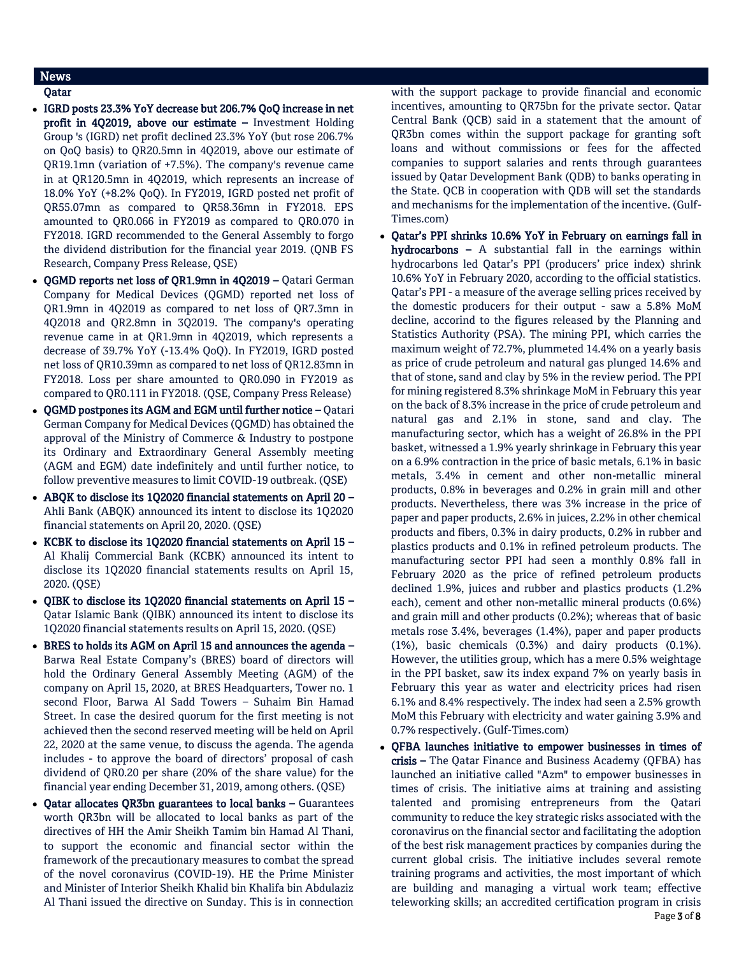## News

- Qatar
- IGRD posts 23.3% YoY decrease but 206.7% QoQ increase in net profit in 4Q2019, above our estimate – Investment Holding Group 's (IGRD) net profit declined 23.3% YoY (but rose 206.7% on QoQ basis) to QR20.5mn in 4Q2019, above our estimate of QR19.1mn (variation of +7.5%). The company's revenue came in at QR120.5mn in 4Q2019, which represents an increase of 18.0% YoY (+8.2% QoQ). In FY2019, IGRD posted net profit of QR55.07mn as compared to QR58.36mn in FY2018. EPS amounted to QR0.066 in FY2019 as compared to QR0.070 in FY2018. IGRD recommended to the General Assembly to forgo the dividend distribution for the financial year 2019. (QNB FS Research, Company Press Release, QSE)
- OGMD reports net loss of QR1.9mn in 4Q2019 Qatari German Company for Medical Devices (QGMD) reported net loss of QR1.9mn in 4Q2019 as compared to net loss of QR7.3mn in 4Q2018 and QR2.8mn in 3Q2019. The company's operating revenue came in at QR1.9mn in 4Q2019, which represents a decrease of 39.7% YoY (-13.4% QoQ). In FY2019, IGRD posted net loss of QR10.39mn as compared to net loss of QR12.83mn in FY2018. Loss per share amounted to QR0.090 in FY2019 as compared to QR0.111 in FY2018. (QSE, Company Press Release)
- QGMD postpones its AGM and EGM until further notice Qatari German Company for Medical Devices (QGMD) has obtained the approval of the Ministry of Commerce & Industry to postpone its Ordinary and Extraordinary General Assembly meeting (AGM and EGM) date indefinitely and until further notice, to follow preventive measures to limit COVID-19 outbreak. (QSE)
- ABQK to disclose its 1Q2020 financial statements on April 20 Ahli Bank (ABQK) announced its intent to disclose its 1Q2020 financial statements on April 20, 2020. (QSE)
- KCBK to disclose its 1Q2020 financial statements on April 15 Al Khalij Commercial Bank (KCBK) announced its intent to disclose its 1Q2020 financial statements results on April 15, 2020. (QSE)
- QIBK to disclose its 1Q2020 financial statements on April 15 Qatar Islamic Bank (QIBK) announced its intent to disclose its 1Q2020 financial statements results on April 15, 2020. (QSE)
- BRES to holds its AGM on April 15 and announces the agenda Barwa Real Estate Company's (BRES) board of directors will hold the Ordinary General Assembly Meeting (AGM) of the company on April 15, 2020, at BRES Headquarters, Tower no. 1 second Floor, Barwa Al Sadd Towers – Suhaim Bin Hamad Street. In case the desired quorum for the first meeting is not achieved then the second reserved meeting will be held on April 22, 2020 at the same venue, to discuss the agenda. The agenda includes - to approve the board of directors' proposal of cash dividend of QR0.20 per share (20% of the share value) for the financial year ending December 31, 2019, among others. (QSE)
- Qatar allocates QR3bn guarantees to local banks Guarantees worth QR3bn will be allocated to local banks as part of the directives of HH the Amir Sheikh Tamim bin Hamad Al Thani, to support the economic and financial sector within the framework of the precautionary measures to combat the spread of the novel coronavirus (COVID-19). HE the Prime Minister and Minister of Interior Sheikh Khalid bin Khalifa bin Abdulaziz Al Thani issued the directive on Sunday. This is in connection

with the support package to provide financial and economic incentives, amounting to QR75bn for the private sector. Qatar Central Bank (QCB) said in a statement that the amount of QR3bn comes within the support package for granting soft loans and without commissions or fees for the affected companies to support salaries and rents through guarantees issued by Qatar Development Bank (QDB) to banks operating in the State. QCB in cooperation with QDB will set the standards and mechanisms for the implementation of the incentive. (Gulf-Times.com)

- Qatar's PPI shrinks 10.6% YoY in February on earnings fall in hydrocarbons – A substantial fall in the earnings within hydrocarbons led Qatar's PPI (producers' price index) shrink 10.6% YoY in February 2020, according to the official statistics. Qatar's PPI - a measure of the average selling prices received by the domestic producers for their output - saw a 5.8% MoM decline, accorind to the figures released by the Planning and Statistics Authority (PSA). The mining PPI, which carries the maximum weight of 72.7%, plummeted 14.4% on a yearly basis as price of crude petroleum and natural gas plunged 14.6% and that of stone, sand and clay by 5% in the review period. The PPI for mining registered 8.3% shrinkage MoM in February this year on the back of 8.3% increase in the price of crude petroleum and natural gas and 2.1% in stone, sand and clay. The manufacturing sector, which has a weight of 26.8% in the PPI basket, witnessed a 1.9% yearly shrinkage in February this year on a 6.9% contraction in the price of basic metals, 6.1% in basic metals, 3.4% in cement and other non-metallic mineral products, 0.8% in beverages and 0.2% in grain mill and other products. Nevertheless, there was 3% increase in the price of paper and paper products, 2.6% in juices, 2.2% in other chemical products and fibers, 0.3% in dairy products, 0.2% in rubber and plastics products and 0.1% in refined petroleum products. The manufacturing sector PPI had seen a monthly 0.8% fall in February 2020 as the price of refined petroleum products declined 1.9%, juices and rubber and plastics products (1.2% each), cement and other non-metallic mineral products (0.6%) and grain mill and other products (0.2%); whereas that of basic metals rose 3.4%, beverages (1.4%), paper and paper products (1%), basic chemicals (0.3%) and dairy products (0.1%). However, the utilities group, which has a mere 0.5% weightage in the PPI basket, saw its index expand 7% on yearly basis in February this year as water and electricity prices had risen 6.1% and 8.4% respectively. The index had seen a 2.5% growth MoM this February with electricity and water gaining 3.9% and 0.7% respectively. (Gulf-Times.com)
- QFBA launches initiative to empower businesses in times of crisis – The Qatar Finance and Business Academy (QFBA) has launched an initiative called "Azm" to empower businesses in times of crisis. The initiative aims at training and assisting talented and promising entrepreneurs from the Qatari community to reduce the key strategic risks associated with the coronavirus on the financial sector and facilitating the adoption of the best risk management practices by companies during the current global crisis. The initiative includes several remote training programs and activities, the most important of which are building and managing a virtual work team; effective teleworking skills; an accredited certification program in crisis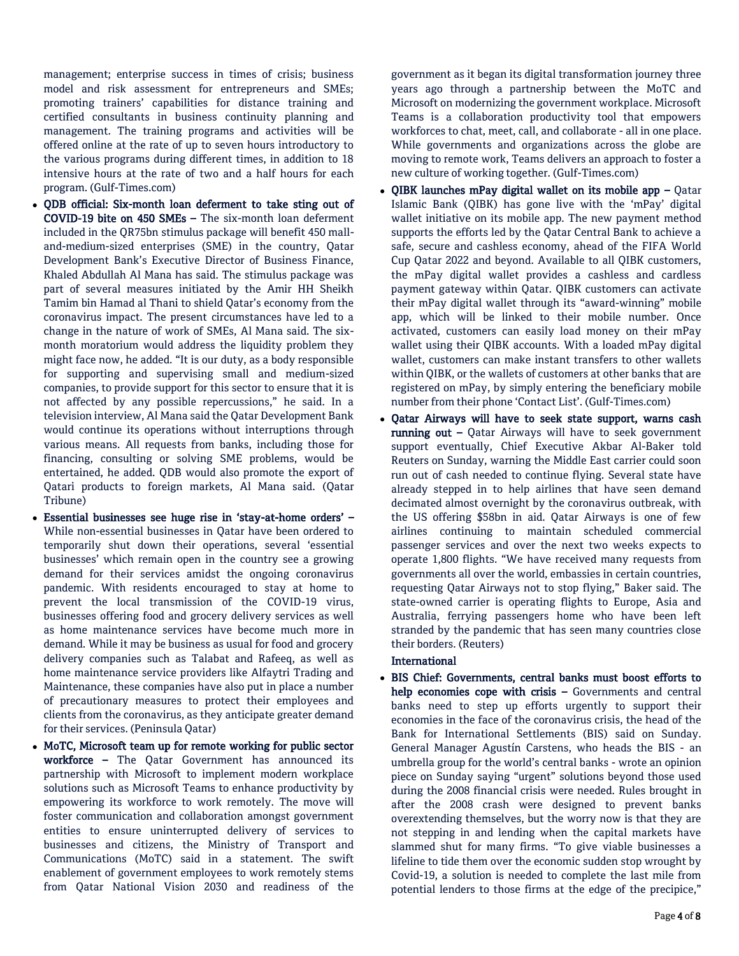management; enterprise success in times of crisis; business model and risk assessment for entrepreneurs and SMEs; promoting trainers' capabilities for distance training and certified consultants in business continuity planning and management. The training programs and activities will be offered online at the rate of up to seven hours introductory to the various programs during different times, in addition to 18 intensive hours at the rate of two and a half hours for each program. (Gulf-Times.com)

- QDB official: Six-month loan deferment to take sting out of COVID-19 bite on 450 SMEs – The six-month loan deferment included in the QR75bn stimulus package will benefit 450 malland-medium-sized enterprises (SME) in the country, Qatar Development Bank's Executive Director of Business Finance, Khaled Abdullah Al Mana has said. The stimulus package was part of several measures initiated by the Amir HH Sheikh Tamim bin Hamad al Thani to shield Qatar's economy from the coronavirus impact. The present circumstances have led to a change in the nature of work of SMEs, Al Mana said. The sixmonth moratorium would address the liquidity problem they might face now, he added. "It is our duty, as a body responsible for supporting and supervising small and medium-sized companies, to provide support for this sector to ensure that it is not affected by any possible repercussions," he said. In a television interview, Al Mana said the Qatar Development Bank would continue its operations without interruptions through various means. All requests from banks, including those for financing, consulting or solving SME problems, would be entertained, he added. QDB would also promote the export of Qatari products to foreign markets, Al Mana said. (Qatar Tribune)
- Essential businesses see huge rise in 'stay-at-home orders' While non-essential businesses in Qatar have been ordered to temporarily shut down their operations, several 'essential businesses' which remain open in the country see a growing demand for their services amidst the ongoing coronavirus pandemic. With residents encouraged to stay at home to prevent the local transmission of the COVID-19 virus, businesses offering food and grocery delivery services as well as home maintenance services have become much more in demand. While it may be business as usual for food and grocery delivery companies such as Talabat and Rafeeq, as well as home maintenance service providers like Alfaytri Trading and Maintenance, these companies have also put in place a number of precautionary measures to protect their employees and clients from the coronavirus, as they anticipate greater demand for their services. (Peninsula Qatar)
- MoTC, Microsoft team up for remote working for public sector workforce – The Qatar Government has announced its partnership with Microsoft to implement modern workplace solutions such as Microsoft Teams to enhance productivity by empowering its workforce to work remotely. The move will foster communication and collaboration amongst government entities to ensure uninterrupted delivery of services to businesses and citizens, the Ministry of Transport and Communications (MoTC) said in a statement. The swift enablement of government employees to work remotely stems from Qatar National Vision 2030 and readiness of the

government as it began its digital transformation journey three years ago through a partnership between the MoTC and Microsoft on modernizing the government workplace. Microsoft Teams is a collaboration productivity tool that empowers workforces to chat, meet, call, and collaborate - all in one place. While governments and organizations across the globe are moving to remote work, Teams delivers an approach to foster a new culture of working together. (Gulf-Times.com)

- QIBK launches mPay digital wallet on its mobile app Qatar Islamic Bank (QIBK) has gone live with the 'mPay' digital wallet initiative on its mobile app. The new payment method supports the efforts led by the Qatar Central Bank to achieve a safe, secure and cashless economy, ahead of the FIFA World Cup Qatar 2022 and beyond. Available to all QIBK customers, the mPay digital wallet provides a cashless and cardless payment gateway within Qatar. QIBK customers can activate their mPay digital wallet through its "award-winning" mobile app, which will be linked to their mobile number. Once activated, customers can easily load money on their mPay wallet using their QIBK accounts. With a loaded mPay digital wallet, customers can make instant transfers to other wallets within QIBK, or the wallets of customers at other banks that are registered on mPay, by simply entering the beneficiary mobile number from their phone 'Contact List'. (Gulf-Times.com)
- Qatar Airways will have to seek state support, warns cash running out - Qatar Airways will have to seek government support eventually, Chief Executive Akbar Al-Baker told Reuters on Sunday, warning the Middle East carrier could soon run out of cash needed to continue flying. Several state have already stepped in to help airlines that have seen demand decimated almost overnight by the coronavirus outbreak, with the US offering \$58bn in aid. Qatar Airways is one of few airlines continuing to maintain scheduled commercial passenger services and over the next two weeks expects to operate 1,800 flights. "We have received many requests from governments all over the world, embassies in certain countries, requesting Qatar Airways not to stop flying," Baker said. The state-owned carrier is operating flights to Europe, Asia and Australia, ferrying passengers home who have been left stranded by the pandemic that has seen many countries close their borders. (Reuters)

## International

 BIS Chief: Governments, central banks must boost efforts to help economies cope with crisis - Governments and central banks need to step up efforts urgently to support their economies in the face of the coronavirus crisis, the head of the Bank for International Settlements (BIS) said on Sunday. General Manager Agustín Carstens, who heads the BIS - an umbrella group for the world's central banks - wrote an opinion piece on Sunday saying "urgent" solutions beyond those used during the 2008 financial crisis were needed. Rules brought in after the 2008 crash were designed to prevent banks overextending themselves, but the worry now is that they are not stepping in and lending when the capital markets have slammed shut for many firms. "To give viable businesses a lifeline to tide them over the economic sudden stop wrought by Covid-19, a solution is needed to complete the last mile from potential lenders to those firms at the edge of the precipice,"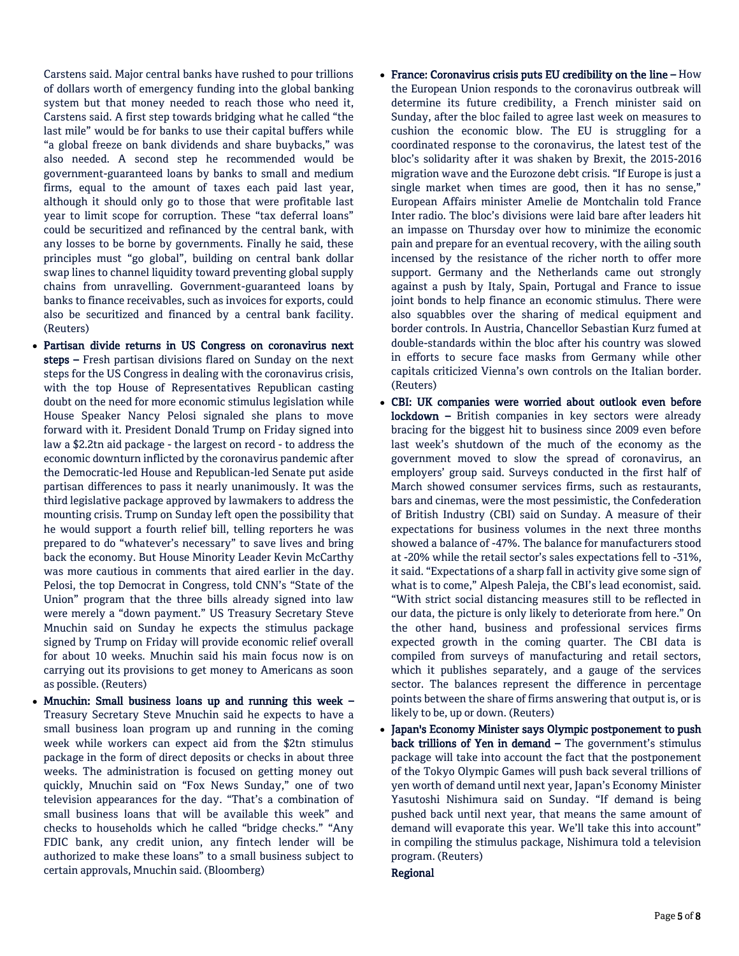Carstens said. Major central banks have rushed to pour trillions of dollars worth of emergency funding into the global banking system but that money needed to reach those who need it, Carstens said. A first step towards bridging what he called "the last mile" would be for banks to use their capital buffers while "a global freeze on bank dividends and share buybacks," was also needed. A second step he recommended would be government-guaranteed loans by banks to small and medium firms, equal to the amount of taxes each paid last year, although it should only go to those that were profitable last year to limit scope for corruption. These "tax deferral loans" could be securitized and refinanced by the central bank, with any losses to be borne by governments. Finally he said, these principles must "go global", building on central bank dollar swap lines to channel liquidity toward preventing global supply chains from unravelling. Government-guaranteed loans by banks to finance receivables, such as invoices for exports, could also be securitized and financed by a central bank facility. (Reuters)

- Partisan divide returns in US Congress on coronavirus next steps - Fresh partisan divisions flared on Sunday on the next steps for the US Congress in dealing with the coronavirus crisis, with the top House of Representatives Republican casting doubt on the need for more economic stimulus legislation while House Speaker Nancy Pelosi signaled she plans to move forward with it. President Donald Trump on Friday signed into law a \$2.2tn aid package - the largest on record - to address the economic downturn inflicted by the coronavirus pandemic after the Democratic-led House and Republican-led Senate put aside partisan differences to pass it nearly unanimously. It was the third legislative package approved by lawmakers to address the mounting crisis. Trump on Sunday left open the possibility that he would support a fourth relief bill, telling reporters he was prepared to do "whatever's necessary" to save lives and bring back the economy. But House Minority Leader Kevin McCarthy was more cautious in comments that aired earlier in the day. Pelosi, the top Democrat in Congress, told CNN's "State of the Union" program that the three bills already signed into law were merely a "down payment." US Treasury Secretary Steve Mnuchin said on Sunday he expects the stimulus package signed by Trump on Friday will provide economic relief overall for about 10 weeks. Mnuchin said his main focus now is on carrying out its provisions to get money to Americans as soon as possible. (Reuters)
- Mnuchin: Small business loans up and running this week Treasury Secretary Steve Mnuchin said he expects to have a small business loan program up and running in the coming week while workers can expect aid from the \$2tn stimulus package in the form of direct deposits or checks in about three weeks. The administration is focused on getting money out quickly, Mnuchin said on "Fox News Sunday," one of two television appearances for the day. "That's a combination of small business loans that will be available this week" and checks to households which he called "bridge checks." "Any FDIC bank, any credit union, any fintech lender will be authorized to make these loans" to a small business subject to certain approvals, Mnuchin said. (Bloomberg)
- France: Coronavirus crisis puts EU credibility on the line How the European Union responds to the coronavirus outbreak will determine its future credibility, a French minister said on Sunday, after the bloc failed to agree last week on measures to cushion the economic blow. The EU is struggling for a coordinated response to the coronavirus, the latest test of the bloc's solidarity after it was shaken by Brexit, the 2015-2016 migration wave and the Eurozone debt crisis. "If Europe is just a single market when times are good, then it has no sense," European Affairs minister Amelie de Montchalin told France Inter radio. The bloc's divisions were laid bare after leaders hit an impasse on Thursday over how to minimize the economic pain and prepare for an eventual recovery, with the ailing south incensed by the resistance of the richer north to offer more support. Germany and the Netherlands came out strongly against a push by Italy, Spain, Portugal and France to issue joint bonds to help finance an economic stimulus. There were also squabbles over the sharing of medical equipment and border controls. In Austria, Chancellor Sebastian Kurz fumed at double-standards within the bloc after his country was slowed in efforts to secure face masks from Germany while other capitals criticized Vienna's own controls on the Italian border. (Reuters)
- CBI: UK companies were worried about outlook even before lockdown - British companies in key sectors were already bracing for the biggest hit to business since 2009 even before last week's shutdown of the much of the economy as the government moved to slow the spread of coronavirus, an employers' group said. Surveys conducted in the first half of March showed consumer services firms, such as restaurants, bars and cinemas, were the most pessimistic, the Confederation of British Industry (CBI) said on Sunday. A measure of their expectations for business volumes in the next three months showed a balance of -47%. The balance for manufacturers stood at -20% while the retail sector's sales expectations fell to -31%, it said. "Expectations of a sharp fall in activity give some sign of what is to come," Alpesh Paleja, the CBI's lead economist, said. "With strict social distancing measures still to be reflected in our data, the picture is only likely to deteriorate from here." On the other hand, business and professional services firms expected growth in the coming quarter. The CBI data is compiled from surveys of manufacturing and retail sectors, which it publishes separately, and a gauge of the services sector. The balances represent the difference in percentage points between the share of firms answering that output is, or is likely to be, up or down. (Reuters)
- Japan's Economy Minister says Olympic postponement to push back trillions of Yen in demand - The government's stimulus package will take into account the fact that the postponement of the Tokyo Olympic Games will push back several trillions of yen worth of demand until next year, Japan's Economy Minister Yasutoshi Nishimura said on Sunday. "If demand is being pushed back until next year, that means the same amount of demand will evaporate this year. We'll take this into account" in compiling the stimulus package, Nishimura told a television program. (Reuters)

## Regional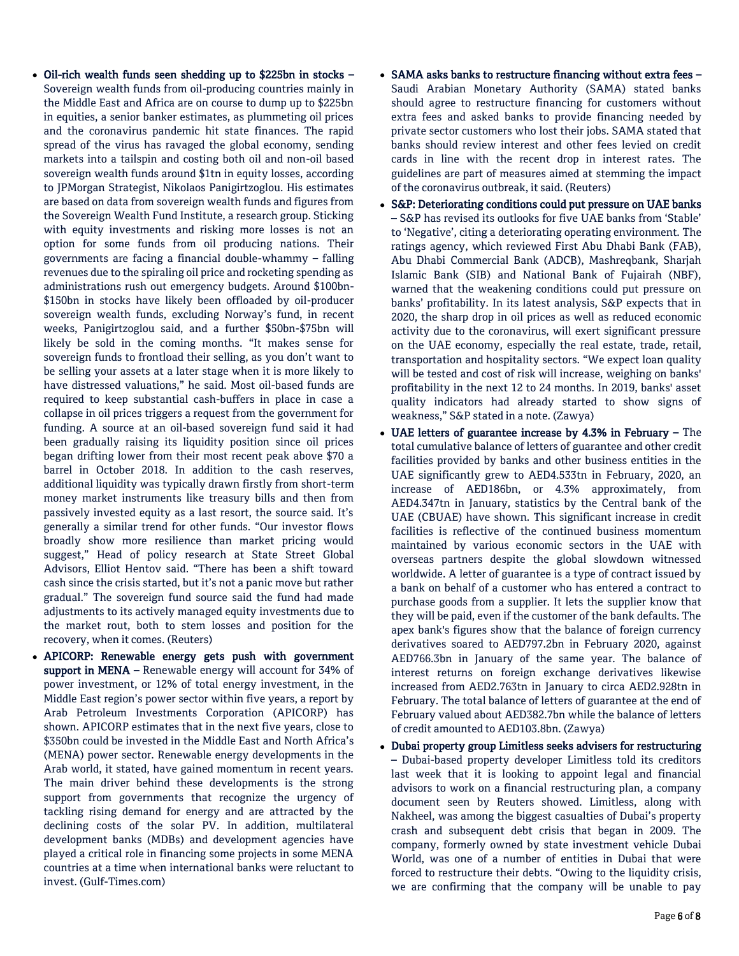- Oil-rich wealth funds seen shedding up to \$225bn in stocks Sovereign wealth funds from oil-producing countries mainly in the Middle East and Africa are on course to dump up to \$225bn in equities, a senior banker estimates, as plummeting oil prices and the coronavirus pandemic hit state finances. The rapid spread of the virus has ravaged the global economy, sending markets into a tailspin and costing both oil and non-oil based sovereign wealth funds around \$1tn in equity losses, according to JPMorgan Strategist, Nikolaos Panigirtzoglou. His estimates are based on data from sovereign wealth funds and figures from the Sovereign Wealth Fund Institute, a research group. Sticking with equity investments and risking more losses is not an option for some funds from oil producing nations. Their governments are facing a financial double-whammy – falling revenues due to the spiraling oil price and rocketing spending as administrations rush out emergency budgets. Around \$100bn- \$150bn in stocks have likely been offloaded by oil-producer sovereign wealth funds, excluding Norway's fund, in recent weeks, Panigirtzoglou said, and a further \$50bn-\$75bn will likely be sold in the coming months. "It makes sense for sovereign funds to frontload their selling, as you don't want to be selling your assets at a later stage when it is more likely to have distressed valuations," he said. Most oil-based funds are required to keep substantial cash-buffers in place in case a collapse in oil prices triggers a request from the government for funding. A source at an oil-based sovereign fund said it had been gradually raising its liquidity position since oil prices began drifting lower from their most recent peak above \$70 a barrel in October 2018. In addition to the cash reserves, additional liquidity was typically drawn firstly from short-term money market instruments like treasury bills and then from passively invested equity as a last resort, the source said. It's generally a similar trend for other funds. "Our investor flows broadly show more resilience than market pricing would suggest," Head of policy research at State Street Global Advisors, Elliot Hentov said. "There has been a shift toward cash since the crisis started, but it's not a panic move but rather gradual." The sovereign fund source said the fund had made adjustments to its actively managed equity investments due to the market rout, both to stem losses and position for the recovery, when it comes. (Reuters)
- APICORP: Renewable energy gets push with government support in MENA - Renewable energy will account for 34% of power investment, or 12% of total energy investment, in the Middle East region's power sector within five years, a report by Arab Petroleum Investments Corporation (APICORP) has shown. APICORP estimates that in the next five years, close to \$350bn could be invested in the Middle East and North Africa's (MENA) power sector. Renewable energy developments in the Arab world, it stated, have gained momentum in recent years. The main driver behind these developments is the strong support from governments that recognize the urgency of tackling rising demand for energy and are attracted by the declining costs of the solar PV. In addition, multilateral development banks (MDBs) and development agencies have played a critical role in financing some projects in some MENA countries at a time when international banks were reluctant to invest. (Gulf-Times.com)
- SAMA asks banks to restructure financing without extra fees Saudi Arabian Monetary Authority (SAMA) stated banks should agree to restructure financing for customers without extra fees and asked banks to provide financing needed by private sector customers who lost their jobs. SAMA stated that banks should review interest and other fees levied on credit cards in line with the recent drop in interest rates. The guidelines are part of measures aimed at stemming the impact of the coronavirus outbreak, it said. (Reuters)
- S&P: Deteriorating conditions could put pressure on UAE banks – S&P has revised its outlooks for five UAE banks from 'Stable' to 'Negative', citing a deteriorating operating environment. The ratings agency, which reviewed First Abu Dhabi Bank (FAB), Abu Dhabi Commercial Bank (ADCB), Mashreqbank, Sharjah Islamic Bank (SIB) and National Bank of Fujairah (NBF), warned that the weakening conditions could put pressure on banks' profitability. In its latest analysis, S&P expects that in 2020, the sharp drop in oil prices as well as reduced economic activity due to the coronavirus, will exert significant pressure on the UAE economy, especially the real estate, trade, retail, transportation and hospitality sectors. "We expect loan quality will be tested and cost of risk will increase, weighing on banks' profitability in the next 12 to 24 months. In 2019, banks' asset quality indicators had already started to show signs of weakness," S&P stated in a note. (Zawya)
- UAE letters of guarantee increase by 4.3% in February The total cumulative balance of letters of guarantee and other credit facilities provided by banks and other business entities in the UAE significantly grew to AED4.533tn in February, 2020, an increase of AED186bn, or 4.3% approximately, from AED4.347tn in January, statistics by the Central bank of the UAE (CBUAE) have shown. This significant increase in credit facilities is reflective of the continued business momentum maintained by various economic sectors in the UAE with overseas partners despite the global slowdown witnessed worldwide. A letter of guarantee is a type of contract issued by a bank on behalf of a customer who has entered a contract to purchase goods from a supplier. It lets the supplier know that they will be paid, even if the customer of the bank defaults. The apex bank's figures show that the balance of foreign currency derivatives soared to AED797.2bn in February 2020, against AED766.3bn in January of the same year. The balance of interest returns on foreign exchange derivatives likewise increased from AED2.763tn in January to circa AED2.928tn in February. The total balance of letters of guarantee at the end of February valued about AED382.7bn while the balance of letters of credit amounted to AED103.8bn. (Zawya)
- Dubai property group Limitless seeks advisers for restructuring – Dubai-based property developer Limitless told its creditors last week that it is looking to appoint legal and financial advisors to work on a financial restructuring plan, a company document seen by Reuters showed. Limitless, along with Nakheel, was among the biggest casualties of Dubai's property crash and subsequent debt crisis that began in 2009. The company, formerly owned by state investment vehicle Dubai World, was one of a number of entities in Dubai that were forced to restructure their debts. "Owing to the liquidity crisis, we are confirming that the company will be unable to pay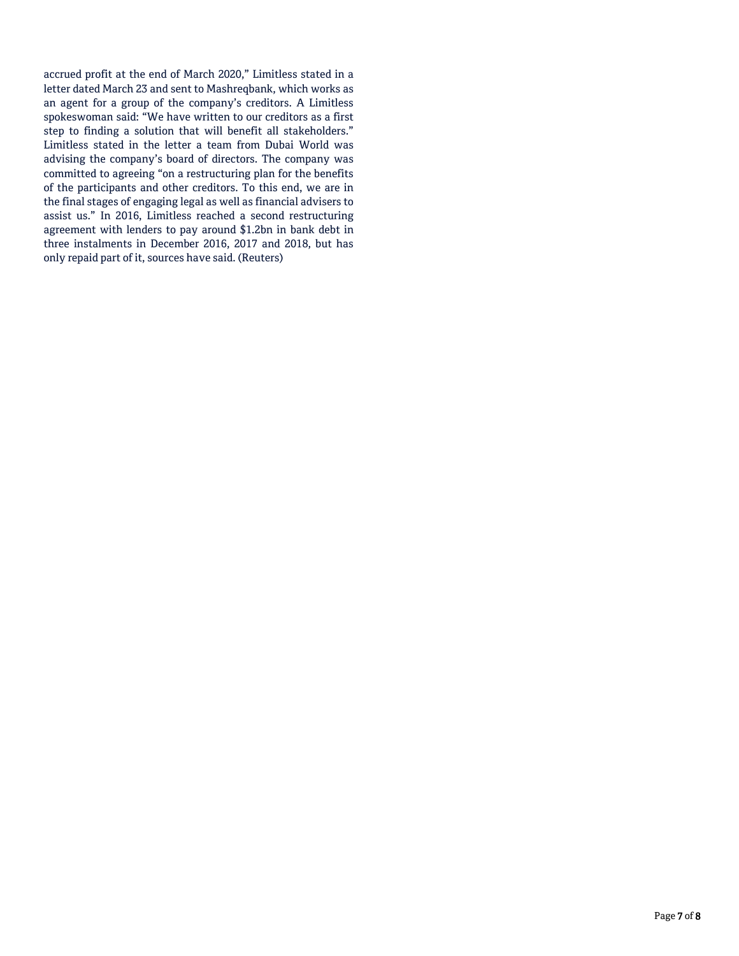accrued profit at the end of March 2020," Limitless stated in a letter dated March 23 and sent to Mashreqbank, which works as an agent for a group of the company's creditors. A Limitless spokeswoman said: "We have written to our creditors as a first step to finding a solution that will benefit all stakeholders." Limitless stated in the letter a team from Dubai World was advising the company's board of directors. The company was committed to agreeing "on a restructuring plan for the benefits of the participants and other creditors. To this end, we are in the final stages of engaging legal as well as financial advisers to assist us." In 2016, Limitless reached a second restructuring agreement with lenders to pay around \$1.2bn in bank debt in three instalments in December 2016, 2017 and 2018, but has only repaid part of it, sources have said. (Reuters)